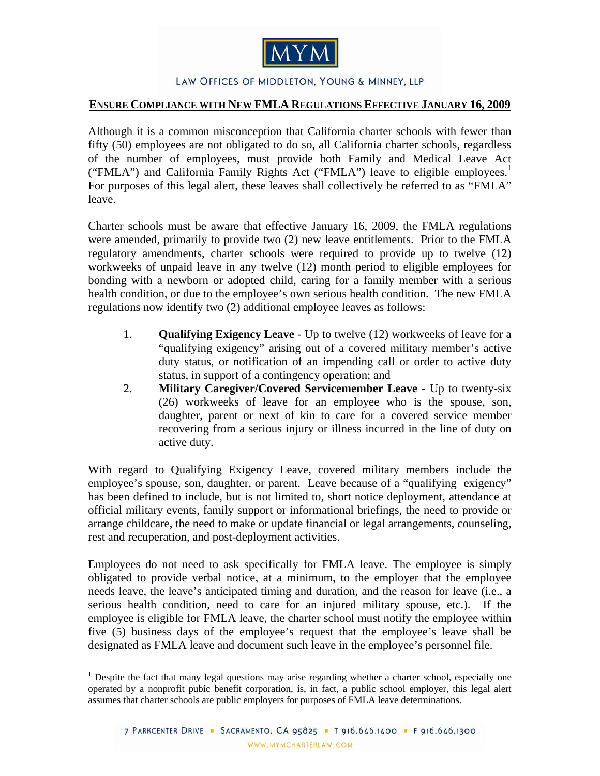

## LAW OFFICES OF MIDDLETON, YOUNG & MINNEY, LLP

## **ENSURE COMPLIANCE WITH NEW FMLA REGULATIONS EFFECTIVE JANUARY 16, 2009**

Although it is a common misconception that California charter schools with fewer than fifty (50) employees are not obligated to do so, all California charter schools, regardless of the number of employees, must provide both Family and Medical Leave Act ("FMLA") and California Family Rights Act ("FMLA") leave to eligible employees.<sup>1</sup> For purposes of this legal alert, these leaves shall collectively be referred to as "FMLA" leave.

Charter schools must be aware that effective January 16, 2009, the FMLA regulations were amended, primarily to provide two (2) new leave entitlements. Prior to the FMLA regulatory amendments, charter schools were required to provide up to twelve (12) workweeks of unpaid leave in any twelve (12) month period to eligible employees for bonding with a newborn or adopted child, caring for a family member with a serious health condition, or due to the employee's own serious health condition. The new FMLA regulations now identify two (2) additional employee leaves as follows:

- 1. **Qualifying Exigency Leave** Up to twelve (12) workweeks of leave for a "qualifying exigency" arising out of a covered military member's active duty status, or notification of an impending call or order to active duty status, in support of a contingency operation; and
- 2. **Military Caregiver/Covered Servicemember Leave** Up to twenty-six (26) workweeks of leave for an employee who is the spouse, son, daughter, parent or next of kin to care for a covered service member recovering from a serious injury or illness incurred in the line of duty on active duty.

With regard to Qualifying Exigency Leave, covered military members include the employee's spouse, son, daughter, or parent. Leave because of a "qualifying exigency" has been defined to include, but is not limited to, short notice deployment, attendance at official military events, family support or informational briefings, the need to provide or arrange childcare, the need to make or update financial or legal arrangements, counseling, rest and recuperation, and post-deployment activities.

Employees do not need to ask specifically for FMLA leave. The employee is simply obligated to provide verbal notice, at a minimum, to the employer that the employee needs leave, the leave's anticipated timing and duration, and the reason for leave (i.e., a serious health condition, need to care for an injured military spouse, etc.). If the employee is eligible for FMLA leave, the charter school must notify the employee within five (5) business days of the employee's request that the employee's leave shall be designated as FMLA leave and document such leave in the employee's personnel file.

 $\overline{a}$ <sup>1</sup> Despite the fact that many legal questions may arise regarding whether a charter school, especially one operated by a nonprofit pubic benefit corporation, is, in fact, a public school employer, this legal alert assumes that charter schools are public employers for purposes of FMLA leave determinations.